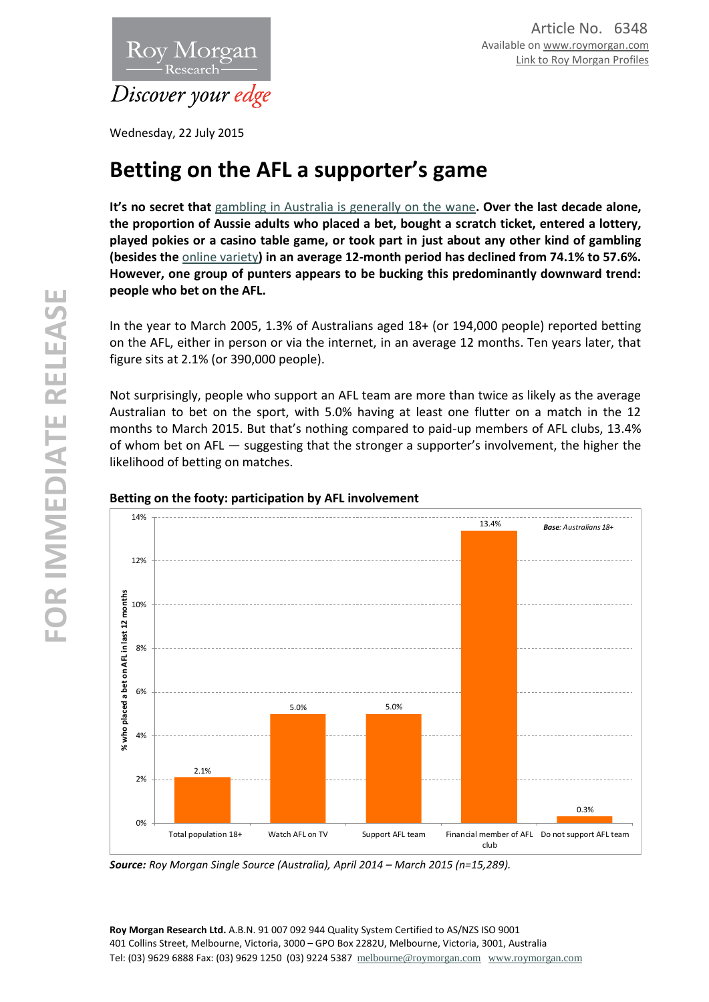

Wednesday, 22 July 2015

# **Betting on the AFL a supporter's game**

**It's no secret that** [gambling in Australia is generally on the wane](http://www.roymorgan.com.au/findings/5762-country-australians-gamble-more-than-city-dwellers-201409020028)**. Over the last decade alone, the proportion of Aussie adults who placed a bet, bought a scratch ticket, entered a lottery, played pokies or a casino table game, or took part in just about any other kind of gambling (besides the** [online variety](http://www.roymorgan.com.au/findings/5468-internet-banking-on-rise-201403060125)**) in an average 12-month period has declined from 74.1% to 57.6%. However, one group of punters appears to be bucking this predominantly downward trend: people who bet on the AFL.**

In the year to March 2005, 1.3% of Australians aged 18+ (or 194,000 people) reported betting on the AFL, either in person or via the internet, in an average 12 months. Ten years later, that figure sits at 2.1% (or 390,000 people).

Not surprisingly, people who support an AFL team are more than twice as likely as the average Australian to bet on the sport, with 5.0% having at least one flutter on a match in the 12 months to March 2015. But that's nothing compared to paid-up members of AFL clubs, 13.4% of whom bet on AFL — suggesting that the stronger a supporter's involvement, the higher the likelihood of betting on matches.



## **Betting on the footy: participation by AFL involvement**

*Source: Roy Morgan Single Source (Australia), April 2014 – March 2015 (n=15,289).*

**Roy Morgan Research Ltd.** A.B.N. 91 007 092 944 Quality System Certified to AS/NZS ISO 9001 401 Collins Street, Melbourne, Victoria, 3000 – GPO Box 2282U, Melbourne, Victoria, 3001, Australia Tel: (03) 9629 6888 Fax: (03) 9629 1250 (03) 9224 5387 [melbourne@roymorgan.com](mailto:melbourne@roymorgan.com) [www.roymorgan.com](http://www.roymorgan.com/)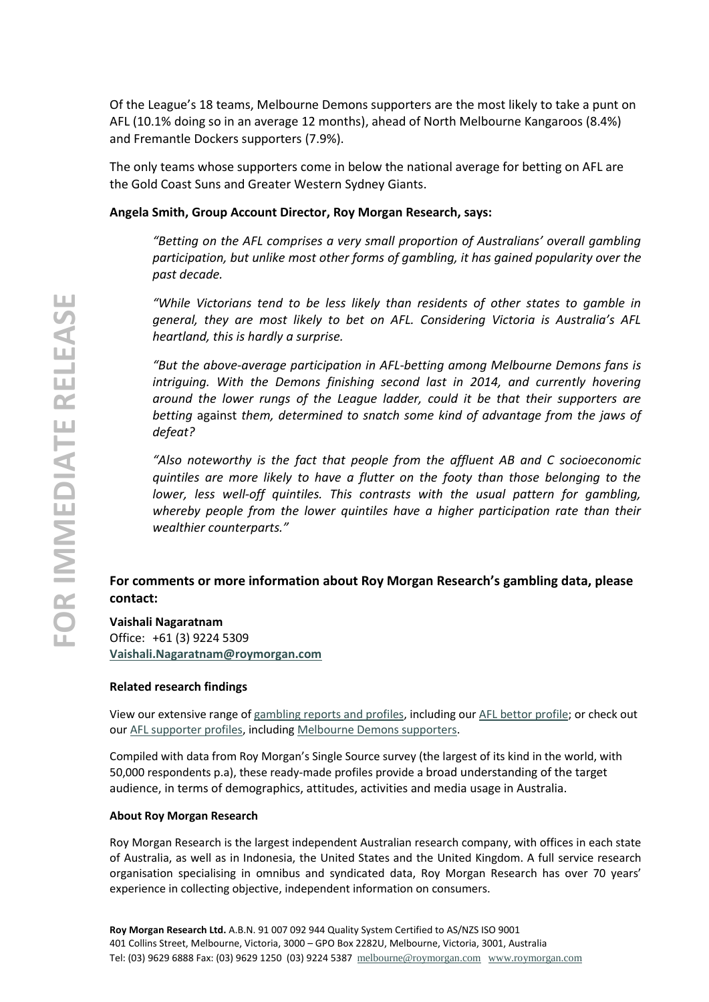Of the League's 18 teams, Melbourne Demons supporters are the most likely to take a punt on AFL (10.1% doing so in an average 12 months), ahead of North Melbourne Kangaroos (8.4%) and Fremantle Dockers supporters (7.9%).

The only teams whose supporters come in below the national average for betting on AFL are the Gold Coast Suns and Greater Western Sydney Giants.

## **Angela Smith, Group Account Director, Roy Morgan Research, says:**

*"Betting on the AFL comprises a very small proportion of Australians' overall gambling participation, but unlike most other forms of gambling, it has gained popularity over the past decade.* 

*"While Victorians tend to be less likely than residents of other states to gamble in general, they are most likely to bet on AFL. Considering Victoria is Australia's AFL heartland, this is hardly a surprise.* 

*"But the above-average participation in AFL-betting among Melbourne Demons fans is intriguing. With the Demons finishing second last in 2014, and currently hovering around the lower rungs of the League ladder, could it be that their supporters are betting* against *them, determined to snatch some kind of advantage from the jaws of defeat?* 

*"Also noteworthy is the fact that people from the affluent AB and C socioeconomic quintiles are more likely to have a flutter on the footy than those belonging to the lower, less well-off quintiles. This contrasts with the usual pattern for gambling, whereby people from the lower quintiles have a higher participation rate than their wealthier counterparts."*

## **For comments or more information about Roy Morgan Research's gambling data, please contact:**

# **Vaishali Nagaratnam**

Office: +61 (3) 9224 5309 **[Vaishali.Nagaratnam@roymorgan.com](mailto:Vaishali.Nagaratnam@roymorgan.com)**

#### **Related research findings**

View our extensive range o[f gambling reports and profiles,](http://www.roymorganonlinestore.com/Browse/Australia/Gambling.aspx) including ou[r AFL bettor profile;](http://www.roymorganonlinestore.com/Browse/Australia/Gambling/Betting/AFL-Bettor-Profile.aspx) or check out our [AFL supporter profiles,](http://www.roymorganonlinestore.com/Browse/Australia/Sport/Sport-Supporters/AFL-Supporters.aspx) includin[g Melbourne Demons supporters.](http://www.roymorganonlinestore.com/Browse/Australia/Sport/Sport-Supporters/AFL-Supporters/Melbourne-Demons-Supporter-Profile.aspx)

Compiled with data from Roy Morgan's Single Source survey (the largest of its kind in the world, with 50,000 respondents p.a), these ready-made profiles provide a broad understanding of the target audience, in terms of demographics, attitudes, activities and media usage in Australia.

## **About Roy Morgan Research**

Roy Morgan Research is the largest independent Australian research company, with offices in each state of Australia, as well as in Indonesia, the United States and the United Kingdom. A full service research organisation specialising in omnibus and syndicated data, Roy Morgan Research has over 70 years' experience in collecting objective, independent information on consumers.